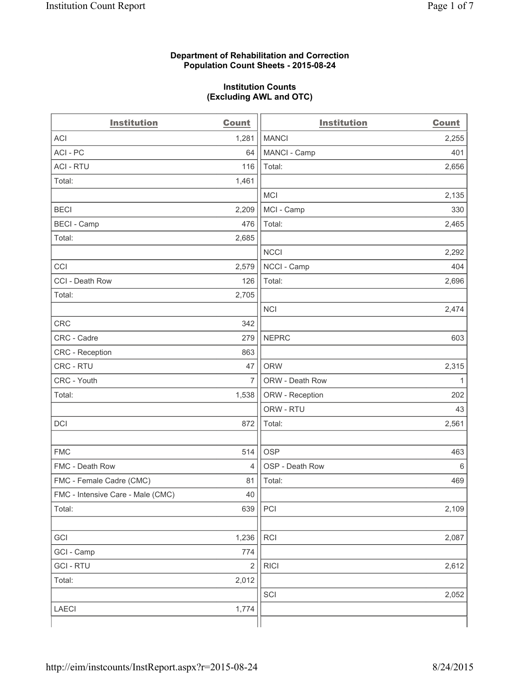### **Department of Rehabilitation and Correction Population Count Sheets - 2015-08-24**

### **Institution Counts (Excluding AWL and OTC)**

| <b>Institution</b>                | <b>Count</b>   | <b>Institution</b> | <b>Count</b> |
|-----------------------------------|----------------|--------------------|--------------|
| <b>ACI</b>                        | 1,281          | <b>MANCI</b>       | 2,255        |
| ACI-PC                            | 64             | MANCI - Camp       | 401          |
| <b>ACI - RTU</b>                  | 116            | Total:             | 2,656        |
| Total:                            | 1,461          |                    |              |
|                                   |                | <b>MCI</b>         | 2,135        |
| <b>BECI</b>                       | 2,209          | MCI - Camp         | 330          |
| <b>BECI - Camp</b>                | 476            | Total:             | 2,465        |
| Total:                            | 2,685          |                    |              |
|                                   |                | <b>NCCI</b>        | 2,292        |
| CCI                               | 2,579          | NCCI - Camp        | 404          |
| CCI - Death Row                   | 126            | Total:             | 2,696        |
| Total:                            | 2,705          |                    |              |
|                                   |                | <b>NCI</b>         | 2,474        |
| <b>CRC</b>                        | 342            |                    |              |
| CRC - Cadre                       | 279            | <b>NEPRC</b>       | 603          |
| CRC - Reception                   | 863            |                    |              |
| CRC - RTU                         | 47             | <b>ORW</b>         | 2,315        |
| CRC - Youth                       | $\overline{7}$ | ORW - Death Row    | 1            |
| Total:                            | 1,538          | ORW - Reception    | 202          |
|                                   |                | ORW - RTU          | 43           |
| DCI                               | 872            | Total:             | 2,561        |
|                                   |                |                    |              |
| <b>FMC</b>                        | 514            | <b>OSP</b>         | 463          |
| FMC - Death Row                   | $\overline{4}$ | OSP - Death Row    | 6            |
| FMC - Female Cadre (CMC)          | 81             | Total:             | 469          |
| FMC - Intensive Care - Male (CMC) | 40             |                    |              |
| Total:                            | 639            | PCI                | 2,109        |
|                                   |                |                    |              |
| GCI                               | 1,236          | RCI                | 2,087        |
| GCI - Camp                        | 774            |                    |              |
| <b>GCI - RTU</b>                  | $\overline{2}$ | <b>RICI</b>        | 2,612        |
| Total:                            | 2,012          |                    |              |
|                                   |                | SCI                | 2,052        |
| LAECI                             | 1,774          |                    |              |
|                                   |                |                    |              |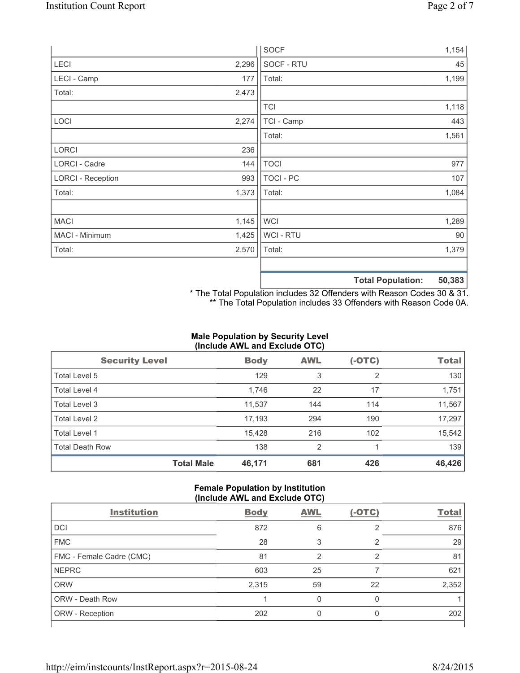|                          |       | <b>SOCF</b>      | 1,154                                     |
|--------------------------|-------|------------------|-------------------------------------------|
| <b>LECI</b>              | 2,296 | SOCF - RTU       | 45                                        |
| LECI - Camp              | 177   | Total:           | 1,199                                     |
| Total:                   | 2,473 |                  |                                           |
|                          |       | <b>TCI</b>       | 1,118                                     |
| LOCI                     | 2,274 | TCI - Camp       | 443                                       |
|                          |       | Total:           | 1,561                                     |
| <b>LORCI</b>             | 236   |                  |                                           |
| LORCI - Cadre            | 144   | <b>TOCI</b>      | 977                                       |
| <b>LORCI - Reception</b> | 993   | <b>TOCI - PC</b> | 107                                       |
| Total:                   | 1,373 | Total:           | 1,084                                     |
|                          |       |                  |                                           |
| <b>MACI</b>              | 1,145 | WCI              | 1,289                                     |
| MACI - Minimum           | 1,425 | <b>WCI-RTU</b>   | 90                                        |
| Total:                   | 2,570 | Total:           | 1,379                                     |
|                          |       |                  |                                           |
|                          |       |                  | <b>50.383</b><br><b>Total Population:</b> |

**Total Population: 50,383** \* The Total Population includes 32 Offenders with Reason Codes 30 & 31.

\*\* The Total Population includes 33 Offenders with Reason Code 0A.

# **Male Population by Security Level (Include AWL and Exclude OTC)**

| <b>Security Level</b>  |                   | <b>Body</b> | <b>AWL</b>     | $(-OTC)$ | <b>Total</b> |
|------------------------|-------------------|-------------|----------------|----------|--------------|
| Total Level 5          |                   | 129         | 3              | 2        | 130          |
| <b>Total Level 4</b>   |                   | 1,746       | 22             | 17       | 1,751        |
| Total Level 3          |                   | 11,537      | 144            | 114      | 11,567       |
| Total Level 2          |                   | 17,193      | 294            | 190      | 17,297       |
| <b>Total Level 1</b>   |                   | 15,428      | 216            | 102      | 15,542       |
| <b>Total Death Row</b> |                   | 138         | $\overline{2}$ |          | 139          |
|                        | <b>Total Male</b> | 46,171      | 681            | 426      | 46,426       |

### **Female Population by Institution (Include AWL and Exclude OTC)**

| <b>Institution</b>       | <b>Body</b> | <b>AWL</b> | $(-OTC)$      | <b>Total</b> |
|--------------------------|-------------|------------|---------------|--------------|
| <b>DCI</b>               | 872         | 6          | $\mathcal{P}$ | 876          |
| <b>FMC</b>               | 28          | 3          | っ             | 29           |
| FMC - Female Cadre (CMC) | 81          | 2          | 2             | 81           |
| <b>NEPRC</b>             | 603         | 25         |               | 621          |
| <b>ORW</b>               | 2,315       | 59         | 22            | 2,352        |
| <b>ORW - Death Row</b>   |             | 0          | 0             |              |
| ORW - Reception          | 202         |            |               | 202          |
|                          |             |            |               |              |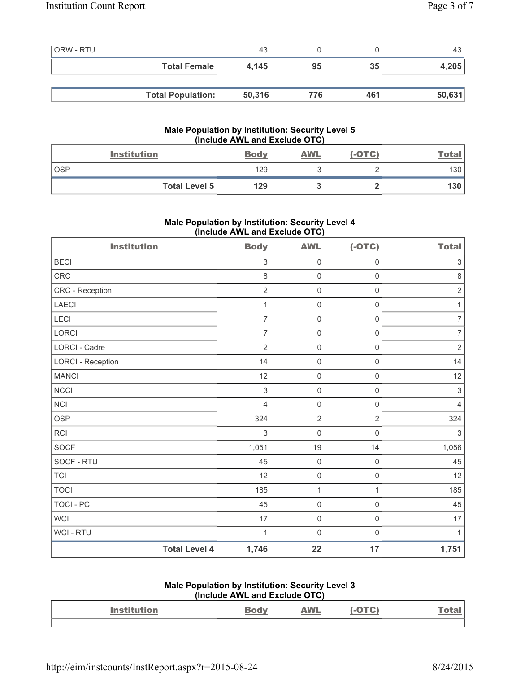| <b>ORW - RTU</b> |                          | 43     |     |     | 43 l   |
|------------------|--------------------------|--------|-----|-----|--------|
|                  | <b>Total Female</b>      | 4.145  | 95  | 35  | 4,205  |
|                  |                          |        |     |     |        |
|                  | <b>Total Population:</b> | 50,316 | 776 | 461 | 50,631 |

## **Male Population by Institution: Security Level 5 (Include AWL and Exclude OTC)**

|            | <b>Institution</b>   | <b>Body</b> | AWL | $(-OTC)$ | <u>Total</u> |
|------------|----------------------|-------------|-----|----------|--------------|
| <b>OSP</b> |                      | 129         |     |          | 130          |
|            | <b>Total Level 5</b> | 129         |     |          | 130          |

# **Male Population by Institution: Security Level 4 (Include AWL and Exclude OTC)**

| <b>Institution</b>       |                      | <b>Body</b>    | <b>AWL</b>          | $(-OTC)$            | <b>Total</b>              |
|--------------------------|----------------------|----------------|---------------------|---------------------|---------------------------|
| <b>BECI</b>              |                      | $\mathsf 3$    | $\mathsf{O}\xspace$ | 0                   | $\ensuremath{\mathsf{3}}$ |
| CRC                      |                      | 8              | $\mathsf{O}\xspace$ | $\mathsf{O}\xspace$ | $\,8\,$                   |
| CRC - Reception          |                      | $\overline{2}$ | $\mathsf{O}\xspace$ | $\mathbf 0$         | $\sqrt{2}$                |
| <b>LAECI</b>             |                      | 1              | $\mathsf{O}\xspace$ | $\mathsf{O}\xspace$ | $\mathbf{1}$              |
| LECI                     |                      | $\overline{7}$ | $\mathbf 0$         | $\mathsf 0$         | $\overline{7}$            |
| <b>LORCI</b>             |                      | $\overline{7}$ | $\mathsf{O}\xspace$ | $\mathsf 0$         | $\overline{7}$            |
| LORCI - Cadre            |                      | $\overline{2}$ | $\mathsf{O}\xspace$ | 0                   | $\sqrt{2}$                |
| <b>LORCI - Reception</b> |                      | 14             | $\mathsf{O}\xspace$ | $\mathsf{O}\xspace$ | 14                        |
| <b>MANCI</b>             |                      | 12             | $\mathsf{O}\xspace$ | $\mathsf{O}\xspace$ | 12                        |
| <b>NCCI</b>              |                      | $\sqrt{3}$     | $\mathsf{O}\xspace$ | $\mathsf{O}\xspace$ | $\sqrt{3}$                |
| <b>NCI</b>               |                      | $\overline{4}$ | $\mathbf 0$         | $\mathsf 0$         | $\overline{4}$            |
| <b>OSP</b>               |                      | 324            | $\overline{2}$      | $\overline{2}$      | 324                       |
| <b>RCI</b>               |                      | $\sqrt{3}$     | $\mathbf 0$         | $\mathsf{O}\xspace$ | $\sqrt{3}$                |
| <b>SOCF</b>              |                      | 1,051          | 19                  | 14                  | 1,056                     |
| SOCF - RTU               |                      | 45             | $\mathsf{O}\xspace$ | $\mathsf 0$         | 45                        |
| <b>TCI</b>               |                      | 12             | $\mathsf{O}\xspace$ | $\mathsf 0$         | 12                        |
| <b>TOCI</b>              |                      | 185            | $\mathbf{1}$        | $\mathbf{1}$        | 185                       |
| <b>TOCI - PC</b>         |                      | 45             | $\mathsf{O}\xspace$ | $\mathsf{O}\xspace$ | 45                        |
| <b>WCI</b>               |                      | 17             | $\mathsf{O}\xspace$ | $\mathsf{O}\xspace$ | 17                        |
| <b>WCI - RTU</b>         |                      | 1              | $\mathbf 0$         | $\mathsf{O}\xspace$ | $\mathbf{1}$              |
|                          | <b>Total Level 4</b> | 1,746          | 22                  | 17                  | 1,751                     |

#### **Male Population by Institution: Security Level 3 (Include AWL and Exclude OTC)**

| $(1101000 \text{ A})$ |  |            |  |              |  |  |
|-----------------------|--|------------|--|--------------|--|--|
| <b>Institution</b>    |  | <b>AWL</b> |  | <u>Total</u> |  |  |
|                       |  |            |  |              |  |  |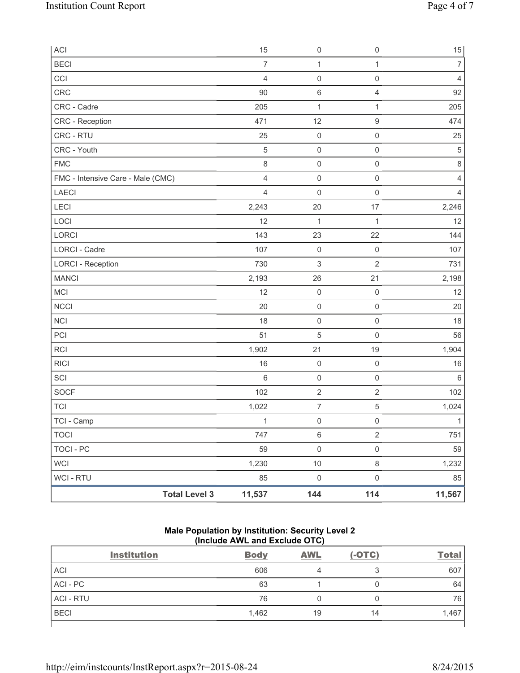| ACI                               | 15             | $\mathsf{O}\xspace$ | $\mathsf{O}\xspace$ | $15\,$         |
|-----------------------------------|----------------|---------------------|---------------------|----------------|
| <b>BECI</b>                       | $\overline{7}$ | $\mathbf{1}$        | $\mathbf{1}$        | $\overline{7}$ |
| CCI                               | $\overline{4}$ | $\mathsf{O}\xspace$ | $\mathsf{O}\xspace$ | $\overline{4}$ |
| CRC                               | 90             | $\,6\,$             | 4                   | 92             |
| CRC - Cadre                       | 205            | $\mathbf 1$         | $\mathbf{1}$        | 205            |
| CRC - Reception                   | 471            | 12                  | 9                   | 474            |
| CRC - RTU                         | 25             | $\mathsf{O}\xspace$ | $\mathsf{O}\xspace$ | 25             |
| CRC - Youth                       | $\sqrt{5}$     | $\mathsf{O}\xspace$ | $\mathsf{O}\xspace$ | $\sqrt{5}$     |
| <b>FMC</b>                        | $\,8\,$        | $\mathsf{O}\xspace$ | $\mathsf{O}\xspace$ | $\,8\,$        |
| FMC - Intensive Care - Male (CMC) | $\overline{4}$ | $\mathsf{O}\xspace$ | $\mathsf{O}\xspace$ | $\overline{4}$ |
| LAECI                             | $\overline{4}$ | $\mathsf{O}\xspace$ | $\mathsf{O}\xspace$ | 4              |
| LECI                              | 2,243          | 20                  | 17                  | 2,246          |
| LOCI                              | 12             | 1                   | $\mathbf{1}$        | 12             |
| LORCI                             | 143            | 23                  | 22                  | 144            |
| LORCI - Cadre                     | 107            | $\boldsymbol{0}$    | $\mathsf 0$         | 107            |
| <b>LORCI - Reception</b>          | 730            | 3                   | $\sqrt{2}$          | 731            |
| <b>MANCI</b>                      | 2,193          | 26                  | 21                  | 2,198          |
| MCI                               | 12             | $\mathsf{O}\xspace$ | $\mathbf 0$         | 12             |
| <b>NCCI</b>                       | 20             | $\mathsf{O}\xspace$ | $\mathsf{O}\xspace$ | 20             |
| <b>NCI</b>                        | 18             | $\mathsf{O}\xspace$ | $\mathsf{O}\xspace$ | 18             |
| PCI                               | 51             | 5                   | $\mathsf{O}\xspace$ | 56             |
| RCI                               | 1,902          | 21                  | 19                  | 1,904          |
| <b>RICI</b>                       | 16             | $\mathsf{O}\xspace$ | $\mathsf 0$         | 16             |
| SCI                               | $\,6$          | $\mathsf{O}\xspace$ | $\mathsf{O}\xspace$ | $\,6\,$        |
| <b>SOCF</b>                       | 102            | $\sqrt{2}$          | $\sqrt{2}$          | 102            |
| <b>TCI</b>                        | 1,022          | $\boldsymbol{7}$    | $\,$ 5 $\,$         | 1,024          |
| TCI - Camp                        | $\mathbf{1}$   | $\mathsf{O}\xspace$ | $\mathsf 0$         | $\mathbf{1}$   |
| <b>TOCI</b>                       | 747            | $\,6\,$             | $\overline{2}$      | 751            |
| <b>TOCI - PC</b>                  | 59             | $\mathsf{O}\xspace$ | $\mathsf{O}\xspace$ | 59             |
| <b>WCI</b>                        | 1,230          | 10                  | 8                   | 1,232          |
| WCI - RTU                         | 85             | $\mathsf 0$         | $\mathsf{O}\xspace$ | 85             |
| <b>Total Level 3</b>              | 11,537         | 144                 | 114                 | 11,567         |

# **Male Population by Institution: Security Level 2 (Include AWL and Exclude OTC)**

| <b>Institution</b> | <b>Body</b> | <b>AWL</b> | $(-OTC)$ | <b>Total</b> |
|--------------------|-------------|------------|----------|--------------|
| <b>ACI</b>         | 606         |            |          | 607          |
| ACI - PC           | 63          |            |          | 64           |
| <b>ACI - RTU</b>   | 76          |            | 0        | 76           |
| <b>BECI</b>        | 1,462       | 19         | 14       | 1,467        |
|                    |             |            |          |              |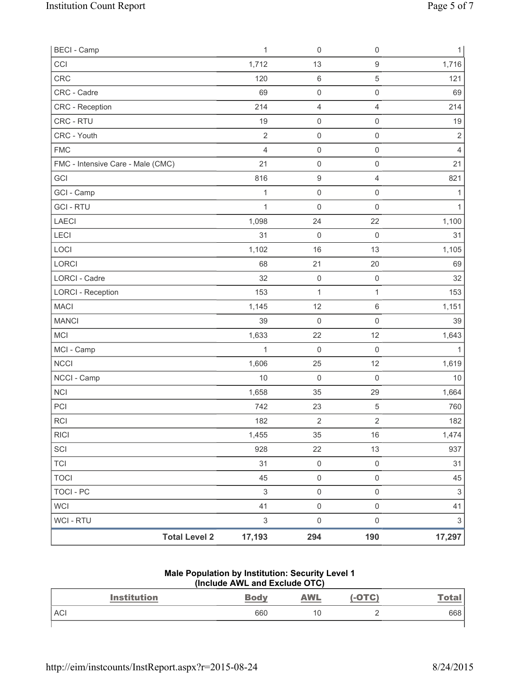| <b>BECI - Camp</b>                |                      | $\mathbf{1}$              | $\mathsf{O}\xspace$ | $\mathsf 0$         | $\mathbf{1}$              |
|-----------------------------------|----------------------|---------------------------|---------------------|---------------------|---------------------------|
| CCI                               |                      | 1,712                     | 13                  | $\hbox{9}$          | 1,716                     |
| <b>CRC</b>                        |                      | 120                       | 6                   | 5                   | 121                       |
| CRC - Cadre                       |                      | 69                        | 0                   | $\mathsf 0$         | 69                        |
| CRC - Reception                   |                      | 214                       | 4                   | $\overline{4}$      | 214                       |
| CRC - RTU                         |                      | 19                        | 0                   | $\mathsf{O}\xspace$ | 19                        |
| CRC - Youth                       |                      | $\overline{2}$            | $\mathsf 0$         | $\mathsf 0$         | $\mathbf 2$               |
| <b>FMC</b>                        |                      | $\overline{4}$            | $\mathsf{O}\xspace$ | $\mathsf 0$         | $\overline{4}$            |
| FMC - Intensive Care - Male (CMC) |                      | 21                        | 0                   | $\mathsf 0$         | 21                        |
| GCI                               |                      | 816                       | $\boldsymbol{9}$    | $\overline{4}$      | 821                       |
| GCI - Camp                        |                      | $\mathbf{1}$              | 0                   | $\mathsf{O}\xspace$ | 1                         |
| <b>GCI-RTU</b>                    |                      | $\mathbf{1}$              | $\mathsf{O}\xspace$ | $\mathsf 0$         | 1                         |
| <b>LAECI</b>                      |                      | 1,098                     | 24                  | 22                  | 1,100                     |
| LECI                              |                      | 31                        | $\mathsf{O}\xspace$ | $\mathsf{O}\xspace$ | 31                        |
| LOCI                              |                      | 1,102                     | 16                  | 13                  | 1,105                     |
| LORCI                             |                      | 68                        | 21                  | 20                  | 69                        |
| <b>LORCI - Cadre</b>              |                      | 32                        | $\mathsf 0$         | $\mathsf 0$         | 32                        |
| <b>LORCI - Reception</b>          |                      | 153                       | 1                   | $\mathbf{1}$        | 153                       |
| <b>MACI</b>                       |                      | 1,145                     | 12                  | $\,6\,$             | 1,151                     |
| <b>MANCI</b>                      |                      | 39                        | 0                   | $\mathsf 0$         | 39                        |
| <b>MCI</b>                        |                      | 1,633                     | 22                  | 12                  | 1,643                     |
| MCI - Camp                        |                      | $\mathbf{1}$              | 0                   | $\mathsf{O}\xspace$ | $\mathbf{1}$              |
| <b>NCCI</b>                       |                      | 1,606                     | 25                  | 12                  | 1,619                     |
| NCCI - Camp                       |                      | 10                        | $\mathsf{O}\xspace$ | $\mathsf{O}\xspace$ | $10$                      |
| <b>NCI</b>                        |                      | 1,658                     | 35                  | 29                  | 1,664                     |
| PCI                               |                      | 742                       | 23                  | $\,$ 5 $\,$         | 760                       |
| <b>RCI</b>                        |                      | 182                       | $\overline{2}$      | $\overline{2}$      | 182                       |
| <b>RICI</b>                       |                      | 1,455                     | 35                  | 16                  | 1,474                     |
| SCI                               |                      | 928                       | 22                  | 13                  | 937                       |
| <b>TCI</b>                        |                      | 31                        | $\mathsf{O}\xspace$ | $\mathsf{O}\xspace$ | 31                        |
| <b>TOCI</b>                       |                      | 45                        | $\mathsf 0$         | $\mathsf 0$         | 45                        |
| <b>TOCI - PC</b>                  |                      | $\mathsf 3$               | $\mathsf{O}\xspace$ | $\mathsf 0$         | $\ensuremath{\mathsf{3}}$ |
| <b>WCI</b>                        |                      | 41                        | $\mathsf{O}\xspace$ | $\mathsf 0$         | 41                        |
| WCI - RTU                         |                      | $\ensuremath{\mathsf{3}}$ | $\mathsf{O}\xspace$ | $\mathsf 0$         | $\sqrt{3}$                |
|                                   | <b>Total Level 2</b> | 17,193                    | 294                 | 190                 | 17,297                    |

#### **Male Population by Institution: Security Level 1 (Include AWL and Exclude OTC)**

| <b>Institution</b> | <b>Body</b> | <b>AWL</b> | -OTC) | <u>Tota.</u> |
|--------------------|-------------|------------|-------|--------------|
| <b>ACI</b>         | 660         | 10         |       | 668          |
|                    |             |            |       |              |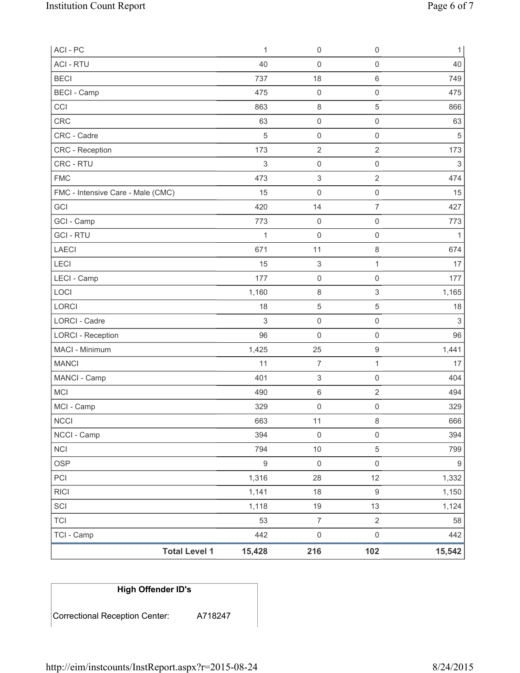| ACI - PC                          | $\mathbf 1$  | $\boldsymbol{0}$          | $\mathsf 0$         | $\mathbf{1}$              |
|-----------------------------------|--------------|---------------------------|---------------------|---------------------------|
| <b>ACI - RTU</b>                  | 40           | 0                         | $\mathsf{O}\xspace$ | 40                        |
| <b>BECI</b>                       | 737          | 18                        | $\,6\,$             | 749                       |
| <b>BECI - Camp</b>                | 475          | $\boldsymbol{0}$          | $\mathbf 0$         | 475                       |
| CCI                               | 863          | 8                         | 5                   | 866                       |
| CRC                               | 63           | 0                         | $\mathsf 0$         | 63                        |
| CRC - Cadre                       | 5            | $\mathsf{O}\xspace$       | $\mathsf{O}\xspace$ | $\sqrt{5}$                |
| CRC - Reception                   | 173          | $\overline{2}$            | $\overline{2}$      | 173                       |
| CRC - RTU                         | 3            | 0                         | $\mathsf{O}\xspace$ | $\ensuremath{\mathsf{3}}$ |
| <b>FMC</b>                        | 473          | $\ensuremath{\mathsf{3}}$ | $\overline{2}$      | 474                       |
| FMC - Intensive Care - Male (CMC) | 15           | 0                         | $\mathsf 0$         | 15                        |
| GCI                               | 420          | 14                        | $\overline{7}$      | 427                       |
| GCI - Camp                        | 773          | 0                         | $\mathsf{O}\xspace$ | 773                       |
| <b>GCI-RTU</b>                    | $\mathbf{1}$ | $\boldsymbol{0}$          | $\mathsf{O}\xspace$ | $\mathbf{1}$              |
| <b>LAECI</b>                      | 671          | 11                        | $\,8\,$             | 674                       |
| LECI                              | 15           | $\ensuremath{\mathsf{3}}$ | 1                   | 17                        |
| LECI - Camp                       | 177          | $\boldsymbol{0}$          | $\mathsf{O}\xspace$ | 177                       |
| LOCI                              | 1,160        | 8                         | 3                   | 1,165                     |
| LORCI                             | 18           | 5                         | 5                   | 18                        |
| LORCI - Cadre                     | $\,$ 3 $\,$  | $\mathsf 0$               | $\mathsf 0$         | 3                         |
| <b>LORCI - Reception</b>          | 96           | $\mathsf{O}\xspace$       | $\mathsf 0$         | 96                        |
| MACI - Minimum                    | 1,425        | 25                        | $\mathsf 9$         | 1,441                     |
| <b>MANCI</b>                      | 11           | $\overline{7}$            | $\mathbf{1}$        | 17                        |
| MANCI - Camp                      | 401          | $\ensuremath{\mathsf{3}}$ | $\mathbf 0$         | 404                       |
| <b>MCI</b>                        | 490          | 6                         | $\overline{2}$      | 494                       |
| MCI - Camp                        | 329          | $\pmb{0}$                 | $\mathsf{O}\xspace$ | 329                       |
| <b>NCCI</b>                       | 663          | 11                        | $\,8\,$             | 666                       |
| NCCI - Camp                       | 394          | $\mathsf 0$               | $\mathsf 0$         | 394                       |
| <b>NCI</b>                        | 794          | $10$                      | $\,$ 5 $\,$         | 799                       |
| <b>OSP</b>                        | $\mathsf g$  | $\mathsf 0$               | $\mathsf 0$         | $\boldsymbol{9}$          |
| PCI                               | 1,316        | 28                        | 12                  | 1,332                     |
| RICI                              | 1,141        | 18                        | $\mathsf g$         | 1,150                     |
| SCI                               | 1,118        | $19$                      | 13                  | 1,124                     |
| <b>TCI</b>                        | 53           | $\overline{7}$            | $\sqrt{2}$          | 58                        |
| TCI - Camp                        | 442          | $\mathsf{O}\xspace$       | $\mathsf 0$         | 442                       |
| <b>Total Level 1</b>              | 15,428       | 216                       | 102                 | 15,542                    |

# **High Offender ID's**  Correctional Reception Center: A718247